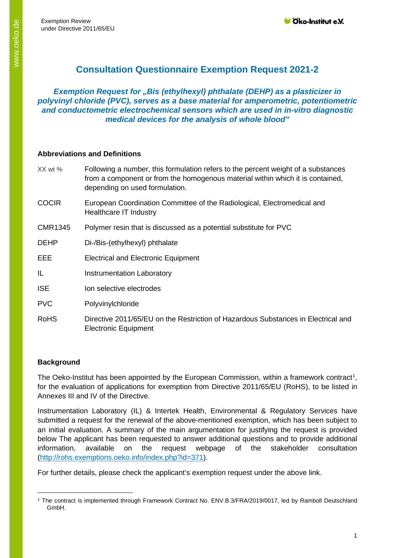# **Consultation Questionnaire Exemption Request 2021-2**

## *Exemption Request for "Bis (ethylhexyl) phthalate (DEHP) as a plasticizer in polyvinyl chloride (PVC), serves as a base material for amperometric, potentiometric and conductometric electrochemical sensors which are used in in-vitro diagnostic medical devices for the analysis of whole blood"*

#### **Abbreviations and Definitions**

| $XX$ wt %      | Following a number, this formulation refers to the percent weight of a substances<br>from a component or from the homogenous material within which it is contained,<br>depending on used formulation. |
|----------------|-------------------------------------------------------------------------------------------------------------------------------------------------------------------------------------------------------|
| <b>COCIR</b>   | European Coordination Committee of the Radiological, Electromedical and<br>Healthcare IT Industry                                                                                                     |
| <b>CMR1345</b> | Polymer resin that is discussed as a potential substitute for PVC                                                                                                                                     |
| <b>DEHP</b>    | Di-/Bis-(ethylhexyl) phthalate                                                                                                                                                                        |
| EEE            | <b>Electrical and Electronic Equipment</b>                                                                                                                                                            |
| IL             | <b>Instrumentation Laboratory</b>                                                                                                                                                                     |
| <b>ISE</b>     | Ion selective electrodes                                                                                                                                                                              |
| <b>PVC</b>     | Polyvinylchloride                                                                                                                                                                                     |
| <b>RoHS</b>    | Directive 2011/65/EU on the Restriction of Hazardous Substances in Electrical and<br><b>Electronic Equipment</b>                                                                                      |

### **Background**

The Oeko-Institut has been appointed by the European Commission, within a framework contract<sup>[1](#page-0-0)</sup>, for the evaluation of applications for exemption from Directive 2011/65/EU (RoHS), to be listed in Annexes III and IV of the Directive.

Instrumentation Laboratory (IL) & Intertek Health, Environmental & Regulatory Services have submitted a request for the renewal of the above-mentioned exemption, which has been subject to an initial evaluation. A summary of the main argumentation for justifying the request is provided below The applicant has been requested to answer additional questions and to provide additional information, available on the request webpage of the stakeholder consultation [\(http://rohs.exemptions.oeko.info/index.php?id=371\)](http://rohs.exemptions.oeko.info/index.php?id=371).

For further details, please check the applicant's exemption request under the above link.

<span id="page-0-0"></span><sup>1</sup> The contract is implemented through Framework Contract No. ENV.B.3/FRA/2019/0017, led by Ramboll Deutschland GmbH.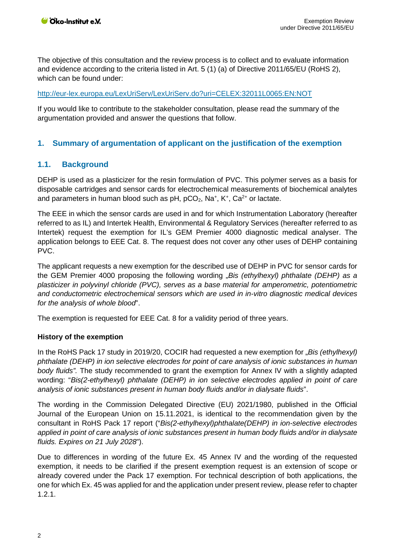The objective of this consultation and the review process is to collect and to evaluate information and evidence according to the criteria listed in Art. 5 (1) (a) of Directive 2011/65/EU (RoHS 2), which can be found under:

### <http://eur-lex.europa.eu/LexUriServ/LexUriServ.do?uri=CELEX:32011L0065:EN:NOT>

If you would like to contribute to the stakeholder consultation, please read the summary of the argumentation provided and answer the questions that follow.

### **1. Summary of argumentation of applicant on the justification of the exemption**

# <span id="page-1-0"></span>**1.1. Background**

DEHP is used as a plasticizer for the resin formulation of PVC. This polymer serves as a basis for disposable cartridges and sensor cards for electrochemical measurements of biochemical analytes and parameters in human blood such as  $pH$ ,  $pCO_2$ , Na<sup>+</sup>, K<sup>+</sup>, Ca<sup>2+</sup> or lactate.

The EEE in which the sensor cards are used in and for which Instrumentation Laboratory (hereafter referred to as IL) and Intertek Health, Environmental & Regulatory Services (hereafter referred to as Intertek) request the exemption for IL's GEM Premier 4000 diagnostic medical analyser. The application belongs to EEE Cat. 8. The request does not cover any other uses of DEHP containing PVC.

The applicant requests a new exemption for the described use of DEHP in PVC for sensor cards for the GEM Premier 4000 proposing the following wording "*Bis (ethylhexyl) phthalate (DEHP) as a plasticizer in polyvinyl chloride (PVC), serves as a base material for amperometric, potentiometric and conductometric electrochemical sensors which are used in in-vitro diagnostic medical devices for the analysis of whole blood*".

The exemption is requested for EEE Cat. 8 for a validity period of three years.

#### **History of the exemption**

In the RoHS Pack 17 study in 2019/20, COCIR had requested a new exemption for "*Bis (ethylhexyl) phthalate (DEHP) in ion selective electrodes for point of care analysis of ionic substances in human body fluids".* The study recommended to grant the exemption for Annex IV with a slightly adapted wording: "*Bis(2-ethylhexyl) phthalate (DEHP) in ion selective electrodes applied in point of care analysis of ionic substances present in human body fluids and/or in dialysate fluids*".

The wording in the Commission Delegated Directive (EU) 2021/1980, published in the Official Journal of the European Union on 15.11.2021, is identical to the recommendation given by the consultant in RoHS Pack 17 report ("*Bis(2-ethylhexyl)phthalate(DEHP) in ion-selective electrodes applied in point of care analysis of ionic substances present in human body fluids and/or in dialysate fluids. Expires on 21 July 2028*").

Due to differences in wording of the future Ex. 45 Annex IV and the wording of the requested exemption, it needs to be clarified if the present exemption request is an extension of scope or already covered under the Pack 17 exemption. For technical description of both applications, the one for which Ex. 45 was applied for and the application under present review, please refer to chapter [1.2.1.](#page-3-0)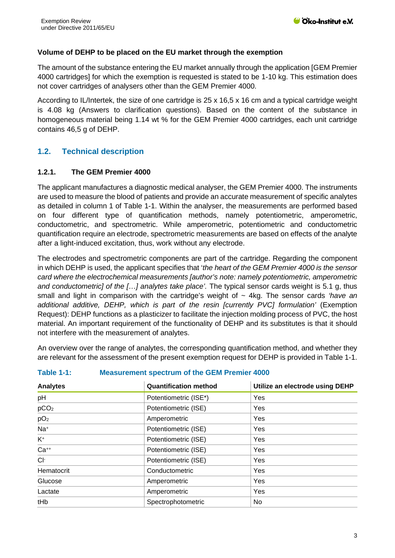### **Volume of DEHP to be placed on the EU market through the exemption**

The amount of the substance entering the EU market annually through the application [GEM Premier 4000 cartridges] for which the exemption is requested is stated to be 1-10 kg. This estimation does not cover cartridges of analysers other than the GEM Premier 4000.

According to IL/Intertek, the size of one cartridge is 25 x 16,5 x 16 cm and a typical cartridge weight is 4.08 kg (Answers to clarification questions). Based on the content of the substance in homogeneous material being 1.14 wt % for the GEM Premier 4000 cartridges, each unit cartridge contains 46,5 g of DEHP.

# **1.2. Technical description**

### **1.2.1. The GEM Premier 4000**

The applicant manufactures a diagnostic medical analyser, the GEM Premier 4000. The instruments are used to measure the blood of patients and provide an accurate measurement of specific analytes as detailed in column 1 of [Table 1-1.](#page-2-0) Within the analyser, the measurements are performed based on four different type of quantification methods, namely potentiometric, amperometric, conductometric, and spectrometric. While amperometric, potentiometric and conductometric quantification require an electrode, spectrometric measurements are based on effects of the analyte after a light-induced excitation, thus, work without any electrode.

The electrodes and spectrometric components are part of the cartridge. Regarding the component in which DEHP is used, the applicant specifies that '*the heart of the GEM Premier 4000 is the sensor card where the electrochemical measurements [author's note: namely potentiometric, amperometric and conductometric] of the […] analytes take place'.* The typical sensor cards weight is 5.1 g, thus small and light in comparison with the cartridge's weight of ~ 4kg. The sensor cards *'have an additional additive, DEHP, which is part of the resin [currently PVC] formulation'* (Exemption Request): DEHP functions as a plasticizer to facilitate the injection molding process of PVC, the host material. An important requirement of the functionality of DEHP and its substitutes is that it should not interfere with the measurement of analytes.

An overview over the range of analytes, the corresponding quantification method, and whether they are relevant for the assessment of the present exemption request for DEHP is provided in [Table 1-1.](#page-2-0)

| <b>Analytes</b>  | <b>Quantification method</b> | Utilize an electrode using DEHP |
|------------------|------------------------------|---------------------------------|
| pH               | Potentiometric (ISE*)        | Yes                             |
| pCO <sub>2</sub> | Potentiometric (ISE)         | Yes                             |
| pO <sub>2</sub>  | Amperometric                 | Yes                             |
| Na <sup>+</sup>  | Potentiometric (ISE)         | Yes                             |
| $K^+$            | Potentiometric (ISE)         | Yes                             |
| $Ca^{++}$        | Potentiometric (ISE)         | Yes                             |
| $Cl-$            | Potentiometric (ISE)         | Yes                             |
| Hematocrit       | Conductometric               | Yes                             |
| Glucose          | Amperometric                 | Yes                             |
| Lactate          | Amperometric                 | Yes                             |
| tHb              | Spectrophotometric           | No.                             |

#### <span id="page-2-0"></span>**Table 1-1: Measurement spectrum of the GEM Premier 4000**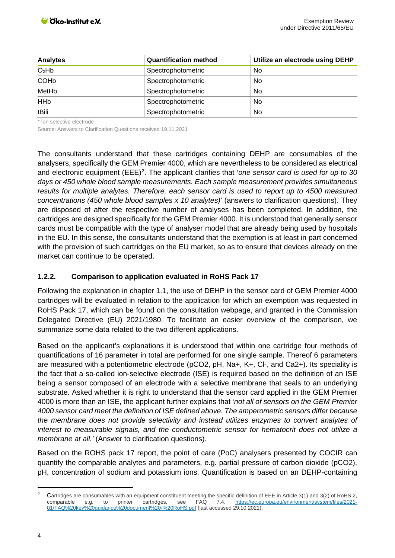| <b>Analytes</b>        | <b>Quantification method</b> | Utilize an electrode using DEHP |
|------------------------|------------------------------|---------------------------------|
| O <sub>2</sub> Hb      | Spectrophotometric           | No.                             |
| <b>COH<sub>b</sub></b> | Spectrophotometric           | No.                             |
| MetHb                  | Spectrophotometric           | No.                             |
| <b>HH<sub>b</sub></b>  | Spectrophotometric           | No.                             |
| tBili                  | Spectrophotometric           | No.                             |

\* Ion selective electrode

Source: Answers to Clarification Questions received 19.11.2021

The consultants understand that these cartridges containing DEHP are consumables of the analysers, specifically the GEM Premier 4000, which are nevertheless to be considered as electrical and electronic equipment (EEE)<sup>[2](#page-3-1)</sup>. The applicant clarifies that 'one sensor card is used for up to 30 *days or 450 whole blood sample measurements. Each sample measurement provides simultaneous results for multiple analytes. Therefore, each sensor card is used to report up to 4500 measured concentrations (450 whole blood samples x 10 analytes)*' (answers to clarification questions). They are disposed of after the respective number of analyses has been completed. In addition, the cartridges are designed specifically for the GEM Premier 4000. It is understood that generally sensor cards must be compatible with the type of analyser model that are already being used by hospitals in the EU. In this sense, the consultants understand that the exemption is at least in part concerned with the provision of such cartridges on the EU market, so as to ensure that devices already on the market can continue to be operated.

### <span id="page-3-0"></span>**1.2.2. Comparison to application evaluated in RoHS Pack 17**

Following the explanation in chapter [1.1,](#page-1-0) the use of DEHP in the sensor card of GEM Premier 4000 cartridges will be evaluated in relation to the application for which an exemption was requested in RoHS Pack 17, which can be found on the consultation webpage, and granted in the Commission Delegated Directive (EU) 2021/1980. To facilitate an easier overview of the comparison, we summarize some data related to the two different applications.

Based on the applicant's explanations it is understood that within one cartridge four methods of quantifications of 16 parameter in total are performed for one single sample. Thereof 6 parameters are measured with a potentiometric electrode (pCO2, pH, Na+, K+, CI-, and Ca2+). Its speciality is the fact that a so-called ion-selective electrode (ISE) is required based on the definition of an ISE being a sensor composed of an electrode with a selective membrane that seals to an underlying substrate. Asked whether it is right to understand that the sensor card applied in the GEM Premier 4000 is more than an ISE, the applicant further explains that '*not all of sensors on the GEM Premier 4000 sensor card meet the definition of ISE defined above. The amperometric sensors differ because the membrane does not provide selectivity and instead utilizes enzymes to convert analytes of interest to measurable signals, and the conductometric sensor for hematocrit does not utilize a membrane at all.'* (Answer to clarification questions).

Based on the ROHS pack 17 report, the point of care (PoC) analysers presented by COCIR can quantify the comparable analytes and parameters, e.g. partial pressure of carbon dioxide (pCO2), pH, concentration of sodium and potassium ions. Quantification is based on an DEHP-containing

<span id="page-3-1"></span><sup>&</sup>lt;sup>2</sup> Cartridges are consumables with an equipment constituent meeting the specific definition of EEE in Article 3(1) and 3(2) of RoHS 2, comparable e.g. to printer cartridges, see FAQ 7.4. https://ec.europa.eu/environment/s comparable e.g. to printer cartridges, see FAQ 7.4. [https://ec.europa.eu/environment/system/files/2021-](https://ec.europa.eu/environment/system/files/2021-01/FAQ%20key%20guidance%20document%20-%20RoHS.pdf) [01/FAQ%20key%20guidance%20document%20-%20RoHS.pdf](https://ec.europa.eu/environment/system/files/2021-01/FAQ%20key%20guidance%20document%20-%20RoHS.pdf) (last accessed 29.10.2021).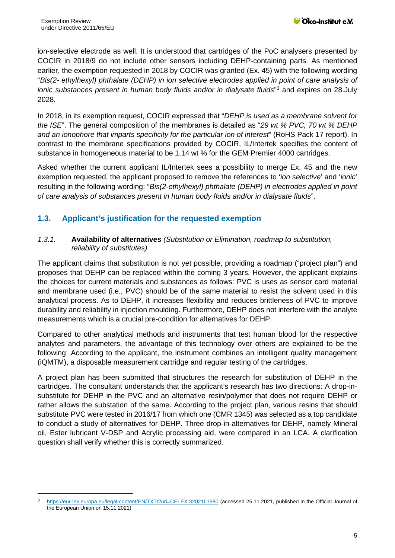ion-selective electrode as well. It is understood that cartridges of the PoC analysers presented by COCIR in 2018/9 do not include other sensors including DEHP-containing parts. As mentioned earlier, the exemption requested in 2018 by COCIR was granted (Ex. 45) with the following wording "*Bis(2- ethylhexyl) phthalate (DEHP) in ion selective electrodes applied in point of care analysis of ionic substances present in human body fluids and/or in dialysate fluids*"[3](#page-4-0) and expires on 28.July 2028.

In 2018, in its exemption request, COCIR expressed that "*DEHP is used as a membrane solvent for the ISE*". The general composition of the membranes is detailed as "*29 wt % PVC, 70 wt % DEHP and an ionophore that imparts specificity for the particular ion of interest*" (RoHS Pack 17 report). In contrast to the membrane specifications provided by COCIR, IL/Intertek specifies the content of substance in homogeneous material to be 1.14 wt % for the GEM Premier 4000 cartridges.

Asked whether the current applicant IL/Intertek sees a possibility to merge Ex. 45 and the new exemption requested, the applicant proposed to remove the references to '*ion selective*' and '*ionic*' resulting in the following wording: "*Bis(2-ethylhexyl) phthalate (DEHP) in electrodes applied in point of care analysis of substances present in human body fluids and/or in dialysate fluids*".

# **1.3. Applicant's justification for the requested exemption**

### *1.3.1.* **Availability of alternatives** *(Substitution or Elimination, roadmap to substitution, reliability of substitutes)*

The applicant claims that substitution is not yet possible, providing a roadmap ("project plan") and proposes that DEHP can be replaced within the coming 3 years. However, the applicant explains the choices for current materials and substances as follows: PVC is uses as sensor card material and membrane used (i.e., PVC) should be of the same material to resist the solvent used in this analytical process. As to DEHP, it increases flexibility and reduces brittleness of PVC to improve durability and reliability in injection moulding. Furthermore, DEHP does not interfere with the analyte measurements which is a crucial pre-condition for alternatives for DEHP.

Compared to other analytical methods and instruments that test human blood for the respective analytes and parameters, the advantage of this technology over others are explained to be the following: According to the applicant, the instrument combines an intelligent quality management (iQMTM), a disposable measurement cartridge and regular testing of the cartridges.

A project plan has been submitted that structures the research for substitution of DEHP in the cartridges. The consultant understands that the applicant's research has two directions: A drop-insubstitute for DEHP in the PVC and an alternative resin/polymer that does not require DEHP or rather allows the substation of the same. According to the project plan, various resins that should substitute PVC were tested in 2016/17 from which one (CMR 1345) was selected as a top candidate to conduct a study of alternatives for DEHP. Three drop-in-alternatives for DEHP, namely Mineral oil, Ester lubricant V-DSP and Acrylic processing aid, were compared in an LCA. A clarification question shall verify whether this is correctly summarized.

<span id="page-4-0"></span><https://eur-lex.europa.eu/legal-content/EN/TXT/?uri=CELEX:32021L1980> (accessed 25.11.2021, published in the Official Journal of the European Union on 15.11.2021)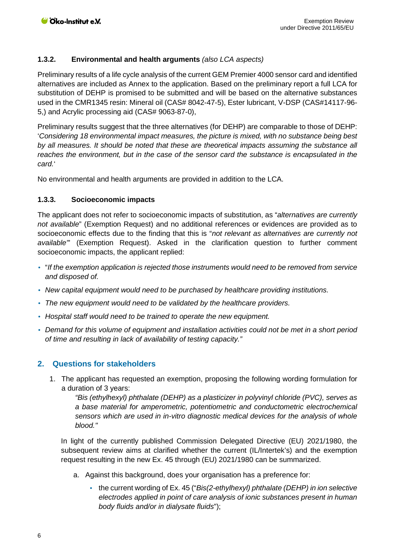## **1.3.2. Environmental and health arguments** *(also LCA aspects)*

Preliminary results of a life cycle analysis of the current GEM Premier 4000 sensor card and identified alternatives are included as Annex to the application. Based on the preliminary report a full LCA for substitution of DEHP is promised to be submitted and will be based on the alternative substances used in the CMR1345 resin: Mineral oil (CAS# 8042-47-5), Ester lubricant, V-DSP (CAS#14117-96- 5,) and Acrylic processing aid (CAS# 9063-87-0),

Preliminary results suggest that the three alternatives (for DEHP) are comparable to those of DEHP: '*Considering 18 environmental impact measures, the picture is mixed, with no substance being best by all measures. It should be noted that these are theoretical impacts assuming the substance all reaches the environment, but in the case of the sensor card the substance is encapsulated in the card.*'

No environmental and health arguments are provided in addition to the LCA.

# **1.3.3. Socioeconomic impacts**

The applicant does not refer to socioeconomic impacts of substitution, as "*alternatives are currently not available*" (Exemption Request) and no additional references or evidences are provided as to socioeconomic effects due to the finding that this is "*not relevant as alternatives are currently not available"*' (Exemption Request). Asked in the clarification question to further comment socioeconomic impacts, the applicant replied:

- "*If the exemption application is rejected those instruments would need to be removed from service and disposed of.*
- *New capital equipment would need to be purchased by healthcare providing institutions.*
- *The new equipment would need to be validated by the healthcare providers.*
- *Hospital staff would need to be trained to operate the new equipment.*
- *Demand for this volume of equipment and installation activities could not be met in a short period of time and resulting in lack of availability of testing capacity."*

# **2. Questions for stakeholders**

1. The applicant has requested an exemption, proposing the following wording formulation for a duration of 3 years:

*"Bis (ethylhexyl) phthalate (DEHP) as a plasticizer in polyvinyl chloride (PVC), serves as a base material for amperometric, potentiometric and conductometric electrochemical sensors which are used in in-vitro diagnostic medical devices for the analysis of whole blood."*

In light of the currently published Commission Delegated Directive (EU) 2021/1980, the subsequent review aims at clarified whether the current (IL/Intertek's) and the exemption request resulting in the new Ex. 45 through (EU) 2021/1980 can be summarized.

- a. Against this background, does your organisation has a preference for:
	- the current wording of Ex. 45 ("*Bis(2-ethylhexyl) phthalate (DEHP) in ion selective electrodes applied in point of care analysis of ionic substances present in human body fluids and/or in dialysate fluids*");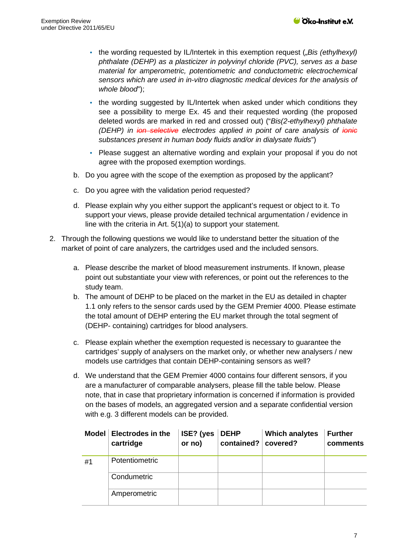- the wording requested by IL/Intertek in this exemption request (*"Bis (ethylhexyl) phthalate (DEHP) as a plasticizer in polyvinyl chloride (PVC), serves as a base material for amperometric, potentiometric and conductometric electrochemical sensors which are used in in-vitro diagnostic medical devices for the analysis of whole blood*");
- the wording suggested by IL/Intertek when asked under which conditions they see a possibility to merge Ex. 45 and their requested wording (the proposed deleted words are marked in red and crossed out) ("*Bis(2-ethylhexyl) phthalate (DEHP) in ion selective electrodes applied in point of care analysis of ionic substances present in human body fluids and/or in dialysate fluids*")
- Please suggest an alternative wording and explain your proposal if you do not agree with the proposed exemption wordings.
- b. Do you agree with the scope of the exemption as proposed by the applicant?
- c. Do you agree with the validation period requested?
- d. Please explain why you either support the applicant's request or object to it. To support your views, please provide detailed technical argumentation / evidence in line with the criteria in Art. 5(1)(a) to support your statement.
- 2. Through the following questions we would like to understand better the situation of the market of point of care analyzers, the cartridges used and the included sensors.
	- a. Please describe the market of blood measurement instruments. If known, please point out substantiate your view with references, or point out the references to the study team.
	- b. The amount of DEHP to be placed on the market in the EU as detailed in chapter [1.1](#page-1-0) only refers to the sensor cards used by the GEM Premier 4000. Please estimate the total amount of DEHP entering the EU market through the total segment of (DEHP- containing) cartridges for blood analysers.
	- c. Please explain whether the exemption requested is necessary to guarantee the cartridges' supply of analysers on the market only, or whether new analysers / new models use cartridges that contain DEHP-containing sensors as well?
	- d. We understand that the GEM Premier 4000 contains four different sensors, if you are a manufacturer of comparable analysers, please fill the table below. Please note, that in case that proprietary information is concerned if information is provided on the bases of models, an aggregated version and a separate confidential version with e.g. 3 different models can be provided.

|    | Model Electrodes in the<br>cartridge | ISE? (yes<br>or no) | <b>DEHP</b><br>contained? | <b>Which analytes</b><br>covered? | <b>Further</b><br>comments |
|----|--------------------------------------|---------------------|---------------------------|-----------------------------------|----------------------------|
| #1 | Potentiometric                       |                     |                           |                                   |                            |
|    | Condumetric                          |                     |                           |                                   |                            |
|    | Amperometric                         |                     |                           |                                   |                            |